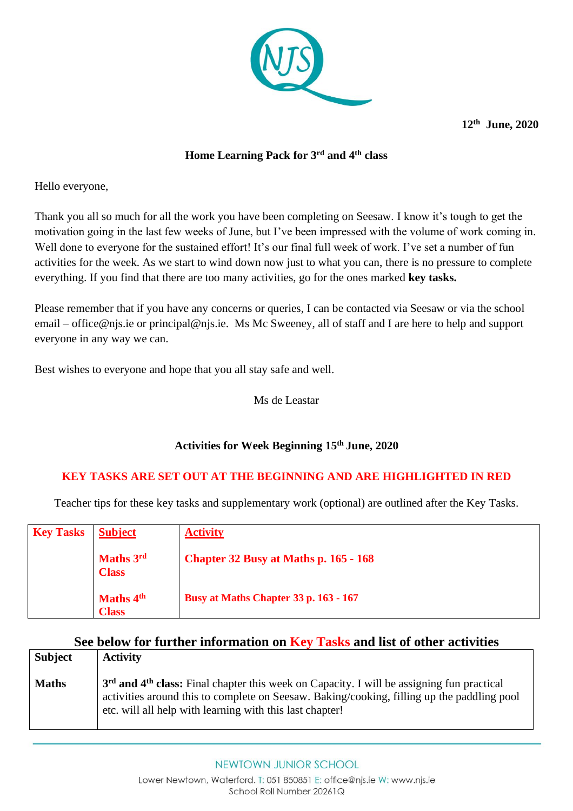

**12th June, 2020**

# **Home Learning Pack for 3 rd and 4th class**

Hello everyone,

Thank you all so much for all the work you have been completing on Seesaw. I know it's tough to get the motivation going in the last few weeks of June, but I've been impressed with the volume of work coming in. Well done to everyone for the sustained effort! It's our final full week of work. I've set a number of fun activities for the week. As we start to wind down now just to what you can, there is no pressure to complete everything. If you find that there are too many activities, go for the ones marked **key tasks.** 

Please remember that if you have any concerns or queries, I can be contacted via Seesaw or via the school email – [office@njs.ie](mailto:office@njs.ie) or [principal@njs.ie.](mailto:principal@njs.ie) Ms Mc Sweeney, all of staff and I are here to help and support everyone in any way we can.

Best wishes to everyone and hope that you all stay safe and well.

Ms de Leastar

## **Activities for Week Beginning 15th June, 2020**

## **KEY TASKS ARE SET OUT AT THE BEGINNING AND ARE HIGHLIGHTED IN RED**

Teacher tips for these key tasks and supplementary work (optional) are outlined after the Key Tasks.

| <b>Key Tasks</b> | <b>Subject</b>                               | <b>Activity</b>                              |
|------------------|----------------------------------------------|----------------------------------------------|
|                  | Maths 3rd<br><b>Class</b>                    | <b>Chapter 32 Busy at Maths p. 165 - 168</b> |
|                  | <b>Maths</b> 4 <sup>th</sup><br><b>Class</b> | Busy at Maths Chapter 33 p. 163 - 167        |

### **See below for further information on Key Tasks and list of other activities**

| Subject      | <b>Activity</b>                                                                                                                                                                                                                                                             |
|--------------|-----------------------------------------------------------------------------------------------------------------------------------------------------------------------------------------------------------------------------------------------------------------------------|
| <b>Maths</b> | 3 <sup>rd</sup> and 4 <sup>th</sup> class: Final chapter this week on Capacity. I will be assigning fun practical<br>activities around this to complete on Seesaw. Baking/cooking, filling up the paddling pool<br>etc. will all help with learning with this last chapter! |

### NEWTOWN JUNIOR SCHOOL